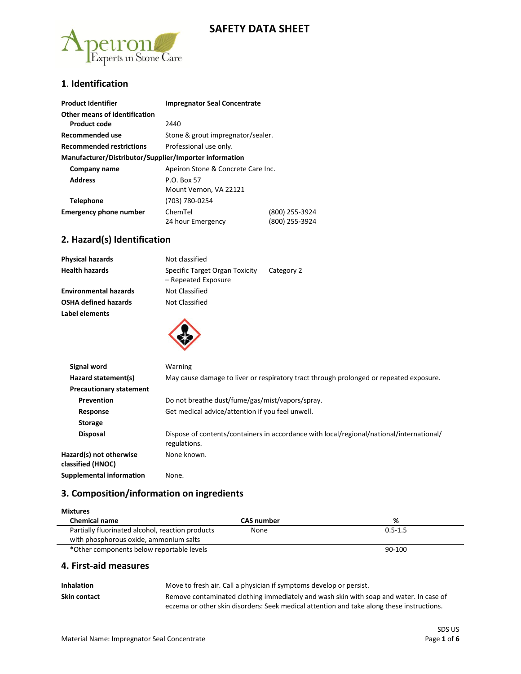# **SAFETY DATA SHEET**



### **1**. **Identification**

| <b>Product Identifier</b>                              | <b>Impregnator Seal Concentrate</b> |                |
|--------------------------------------------------------|-------------------------------------|----------------|
| Other means of identification                          |                                     |                |
| Product code                                           | 2440                                |                |
| Recommended use                                        | Stone & grout impregnator/sealer.   |                |
| <b>Recommended restrictions</b>                        | Professional use only.              |                |
| Manufacturer/Distributor/Supplier/Importer information |                                     |                |
| Company name                                           | Apeiron Stone & Concrete Care Inc.  |                |
| <b>Address</b>                                         | P.O. Box 57                         |                |
|                                                        | Mount Vernon, VA 22121              |                |
| Telephone                                              | (703) 780-0254                      |                |
| <b>Emergency phone number</b>                          | ChemTel                             | (800) 255-3924 |
|                                                        | 24 hour Emergency                   | (800) 255-3924 |

### **2. Hazard(s) Identification**

| <b>Physical hazards</b>      | Not classified                                        |            |
|------------------------------|-------------------------------------------------------|------------|
| <b>Health hazards</b>        | Specific Target Organ Toxicity<br>- Repeated Exposure | Category 2 |
| <b>Environmental hazards</b> | Not Classified                                        |            |
| <b>OSHA defined hazards</b>  | Not Classified                                        |            |
| Label elements               |                                                       |            |



| Signal word                                  | Warning                                                                                                  |
|----------------------------------------------|----------------------------------------------------------------------------------------------------------|
| Hazard statement(s)                          | May cause damage to liver or respiratory tract through prolonged or repeated exposure.                   |
| <b>Precautionary statement</b>               |                                                                                                          |
| Prevention                                   | Do not breathe dust/fume/gas/mist/vapors/spray.                                                          |
| Response                                     | Get medical advice/attention if you feel unwell.                                                         |
| <b>Storage</b>                               |                                                                                                          |
| <b>Disposal</b>                              | Dispose of contents/containers in accordance with local/regional/national/international/<br>regulations. |
| Hazard(s) not otherwise<br>classified (HNOC) | None known.                                                                                              |
| Supplemental information                     | None.                                                                                                    |

### **3. Composition/information on ingredients**

| <b>Mixtures</b>                                  |                   |             |
|--------------------------------------------------|-------------------|-------------|
| <b>Chemical name</b>                             | <b>CAS</b> number | %           |
| Partially fluorinated alcohol, reaction products | None              | $0.5 - 1.5$ |
| with phosphorous oxide, ammonium salts           |                   |             |
| *Other components below reportable levels        |                   | 90-100      |

#### **4. First-aid measures**

| <b>Inhalation</b> | Move to fresh air. Call a physician if symptoms develop or persist.                       |
|-------------------|-------------------------------------------------------------------------------------------|
| Skin contact      | Remove contaminated clothing immediately and wash skin with soap and water. In case of    |
|                   | eczema or other skin disorders: Seek medical attention and take along these instructions. |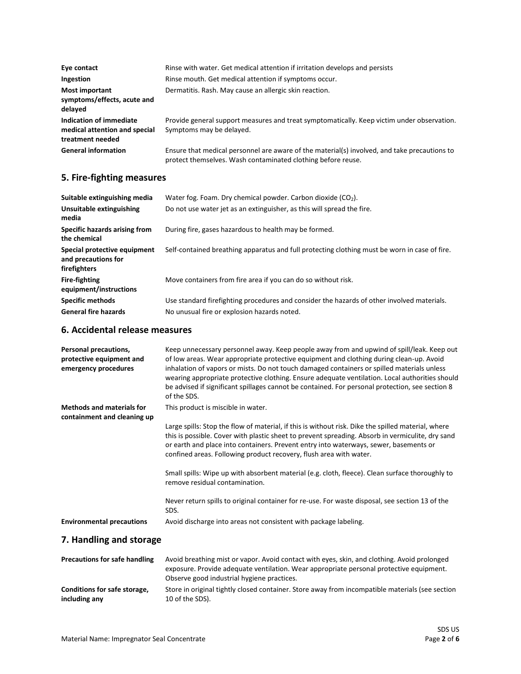| Eye contact                                                                  | Rinse with water. Get medical attention if irritation develops and persists                                                                                  |
|------------------------------------------------------------------------------|--------------------------------------------------------------------------------------------------------------------------------------------------------------|
| Ingestion                                                                    | Rinse mouth. Get medical attention if symptoms occur.                                                                                                        |
| Most important<br>symptoms/effects, acute and<br>delayed                     | Dermatitis. Rash. May cause an allergic skin reaction.                                                                                                       |
| Indication of immediate<br>medical attention and special<br>treatment needed | Provide general support measures and treat symptomatically. Keep victim under observation.<br>Symptoms may be delayed.                                       |
| <b>General information</b>                                                   | Ensure that medical personnel are aware of the material(s) involved, and take precautions to<br>protect themselves. Wash contaminated clothing before reuse. |

# **5. Fire-fighting measures**

| Suitable extinguishing media                                        | Water fog. Foam. Dry chemical powder. Carbon dioxide $(CO2)$ .                                |
|---------------------------------------------------------------------|-----------------------------------------------------------------------------------------------|
| Unsuitable extinguishing<br>media                                   | Do not use water jet as an extinguisher, as this will spread the fire.                        |
| Specific hazards arising from<br>the chemical                       | During fire, gases hazardous to health may be formed.                                         |
| Special protective equipment<br>and precautions for<br>firefighters | Self-contained breathing apparatus and full protecting clothing must be worn in case of fire. |
| <b>Fire-fighting</b><br>equipment/instructions                      | Move containers from fire area if you can do so without risk.                                 |
| <b>Specific methods</b>                                             | Use standard firefighting procedures and consider the hazards of other involved materials.    |
| <b>General fire hazards</b>                                         | No unusual fire or explosion hazards noted.                                                   |

### **6. Accidental release measures**

| Personal precautions,<br>protective equipment and<br>emergency procedures | Keep unnecessary personnel away. Keep people away from and upwind of spill/leak. Keep out<br>of low areas. Wear appropriate protective equipment and clothing during clean-up. Avoid<br>inhalation of vapors or mists. Do not touch damaged containers or spilled materials unless<br>wearing appropriate protective clothing. Ensure adequate ventilation. Local authorities should<br>be advised if significant spillages cannot be contained. For personal protection, see section 8<br>of the SDS. |
|---------------------------------------------------------------------------|--------------------------------------------------------------------------------------------------------------------------------------------------------------------------------------------------------------------------------------------------------------------------------------------------------------------------------------------------------------------------------------------------------------------------------------------------------------------------------------------------------|
| <b>Methods and materials for</b><br>containment and cleaning up           | This product is miscible in water.                                                                                                                                                                                                                                                                                                                                                                                                                                                                     |
|                                                                           | Large spills: Stop the flow of material, if this is without risk. Dike the spilled material, where<br>this is possible. Cover with plastic sheet to prevent spreading. Absorb in vermiculite, dry sand<br>or earth and place into containers. Prevent entry into waterways, sewer, basements or<br>confined areas. Following product recovery, flush area with water.                                                                                                                                  |
|                                                                           | Small spills: Wipe up with absorbent material (e.g. cloth, fleece). Clean surface thoroughly to<br>remove residual contamination.                                                                                                                                                                                                                                                                                                                                                                      |
|                                                                           | Never return spills to original container for re-use. For waste disposal, see section 13 of the<br>SDS.                                                                                                                                                                                                                                                                                                                                                                                                |
| <b>Environmental precautions</b>                                          | Avoid discharge into areas not consistent with package labeling.                                                                                                                                                                                                                                                                                                                                                                                                                                       |

# **7. Handling and storage**

| <b>Precautions for safe handling</b> | Avoid breathing mist or vapor. Avoid contact with eyes, skin, and clothing. Avoid prolonged<br>exposure. Provide adequate ventilation. Wear appropriate personal protective equipment.<br>Observe good industrial hygiene practices. |
|--------------------------------------|--------------------------------------------------------------------------------------------------------------------------------------------------------------------------------------------------------------------------------------|
| Conditions for safe storage,         | Store in original tightly closed container. Store away from incompatible materials (see section                                                                                                                                      |
| including any                        | 10 of the SDS).                                                                                                                                                                                                                      |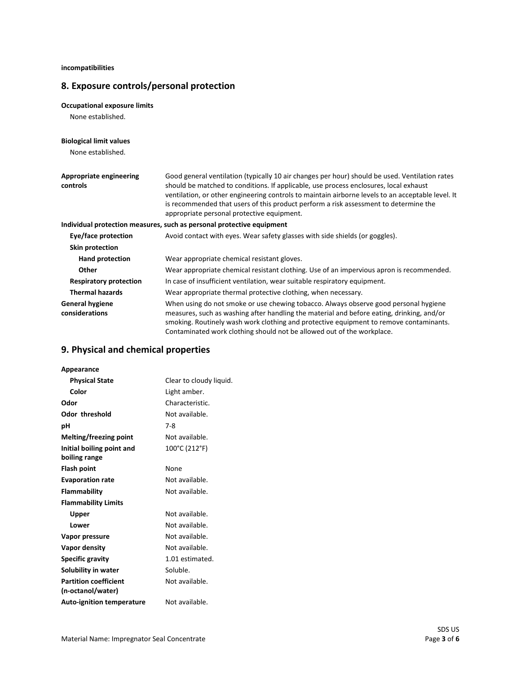**incompatibilities**

# **8. Exposure controls/personal protection**

#### **Occupational exposure limits**

None established.

#### **Biological limit values**

None established.

| Appropriate engineering<br>controls      | Good general ventilation (typically 10 air changes per hour) should be used. Ventilation rates<br>should be matched to conditions. If applicable, use process enclosures, local exhaust<br>ventilation, or other engineering controls to maintain airborne levels to an acceptable level. It<br>is recommended that users of this product perform a risk assessment to determine the<br>appropriate personal protective equipment. |
|------------------------------------------|------------------------------------------------------------------------------------------------------------------------------------------------------------------------------------------------------------------------------------------------------------------------------------------------------------------------------------------------------------------------------------------------------------------------------------|
|                                          | Individual protection measures, such as personal protective equipment                                                                                                                                                                                                                                                                                                                                                              |
| Eye/face protection                      | Avoid contact with eyes. Wear safety glasses with side shields (or goggles).                                                                                                                                                                                                                                                                                                                                                       |
| Skin protection                          |                                                                                                                                                                                                                                                                                                                                                                                                                                    |
| <b>Hand protection</b>                   | Wear appropriate chemical resistant gloves.                                                                                                                                                                                                                                                                                                                                                                                        |
| Other                                    | Wear appropriate chemical resistant clothing. Use of an impervious apron is recommended.                                                                                                                                                                                                                                                                                                                                           |
| <b>Respiratory protection</b>            | In case of insufficient ventilation, wear suitable respiratory equipment.                                                                                                                                                                                                                                                                                                                                                          |
| <b>Thermal hazards</b>                   | Wear appropriate thermal protective clothing, when necessary.                                                                                                                                                                                                                                                                                                                                                                      |
| <b>General hygiene</b><br>considerations | When using do not smoke or use chewing tobacco. Always observe good personal hygiene<br>measures, such as washing after handling the material and before eating, drinking, and/or<br>smoking. Routinely wash work clothing and protective equipment to remove contaminants.<br>Contaminated work clothing should not be allowed out of the workplace.                                                                              |

# **9. Physical and chemical properties**

| Appearance                       |                         |
|----------------------------------|-------------------------|
| <b>Physical State</b>            | Clear to cloudy liquid. |
| Color                            | Light amber.            |
| Odor                             | Characteristic.         |
| <b>Odor threshold</b>            | Not available.          |
| рH                               | $7-8$                   |
| Melting/freezing point           | Not available.          |
| Initial boiling point and        | 100°C (212°F)           |
| boiling range                    |                         |
| <b>Flash point</b>               | None                    |
| <b>Evaporation rate</b>          | Not available.          |
| Flammability                     | Not available.          |
| <b>Flammability Limits</b>       |                         |
| Upper                            | Not available.          |
| Lower                            | Not available.          |
| Vapor pressure                   | Not available.          |
| Vapor density                    | Not available.          |
| <b>Specific gravity</b>          | 1.01 estimated.         |
| Solubility in water              | Soluble.                |
| <b>Partition coefficient</b>     | Not available.          |
| (n-octanol/water)                |                         |
| <b>Auto-ignition temperature</b> | Not available.          |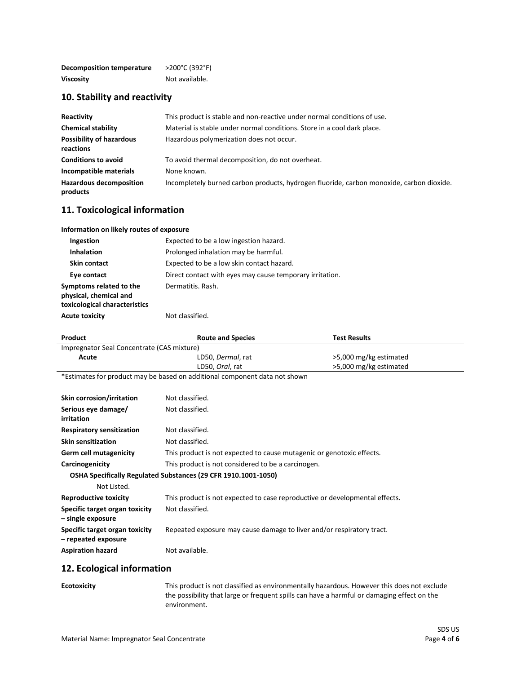| Decomposition temperature | >200°C (392°F) |
|---------------------------|----------------|
| <b>Viscosity</b>          | Not available. |

### **10. Stability and reactivity**

| Reactivity                                   | This product is stable and non-reactive under normal conditions of use.                  |
|----------------------------------------------|------------------------------------------------------------------------------------------|
| <b>Chemical stability</b>                    | Material is stable under normal conditions. Store in a cool dark place.                  |
| <b>Possibility of hazardous</b><br>reactions | Hazardous polymerization does not occur.                                                 |
| <b>Conditions to avoid</b>                   | To avoid thermal decomposition, do not overheat.                                         |
| Incompatible materials                       | None known.                                                                              |
| <b>Hazardous decomposition</b><br>products   | Incompletely burned carbon products, hydrogen fluoride, carbon monoxide, carbon dioxide. |

#### **11. Toxicological information**

| Information on likely routes of exposure                                           |                                                          |
|------------------------------------------------------------------------------------|----------------------------------------------------------|
| <b>Ingestion</b>                                                                   | Expected to be a low ingestion hazard.                   |
| <b>Inhalation</b>                                                                  | Prolonged inhalation may be harmful.                     |
| <b>Skin contact</b>                                                                | Expected to be a low skin contact hazard.                |
| Eye contact                                                                        | Direct contact with eyes may cause temporary irritation. |
| Symptoms related to the<br>physical, chemical and<br>toxicological characteristics | Dermatitis. Rash.                                        |
| <b>Acute toxicity</b>                                                              | Not classified.                                          |

| Product                                    | <b>Route and Species</b> | Test Results           |
|--------------------------------------------|--------------------------|------------------------|
| Impregnator Seal Concentrate (CAS mixture) |                          |                        |
| Acute                                      | LD50, Dermal, rat        | >5,000 mg/kg estimated |
|                                            | LD50, Oral, rat          | >5,000 mg/kg estimated |
| $\mathbf{a} = \mathbf{a} \cdot \mathbf{a}$ |                          |                        |

\*Estimates for product may be based on additional component data not shown

| <b>Skin corrosion/irritation</b>                      | Not classified.                                                             |
|-------------------------------------------------------|-----------------------------------------------------------------------------|
| Serious eye damage/<br>irritation                     | Not classified.                                                             |
| <b>Respiratory sensitization</b>                      | Not classified.                                                             |
| <b>Skin sensitization</b>                             | Not classified.                                                             |
| Germ cell mutagenicity                                | This product is not expected to cause mutagenic or genotoxic effects.       |
| Carcinogenicity                                       | This product is not considered to be a carcinogen.                          |
|                                                       | OSHA Specifically Regulated Substances (29 CFR 1910.1001-1050)              |
| Not Listed.                                           |                                                                             |
| Reproductive toxicity                                 | This product is not expected to case reproductive or developmental effects. |
| Specific target organ toxicity<br>- single exposure   | Not classified.                                                             |
| Specific target organ toxicity<br>- repeated exposure | Repeated exposure may cause damage to liver and/or respiratory tract.       |
| <b>Aspiration hazard</b>                              | Not available.                                                              |

### **12. Ecological information**

| Ecotoxicity |  |  |
|-------------|--|--|
|-------------|--|--|

**Example 20** This product is not classified as environmentally hazardous. However this does not exclude the possibility that large or frequent spills can have a harmful or damaging effect on the environment.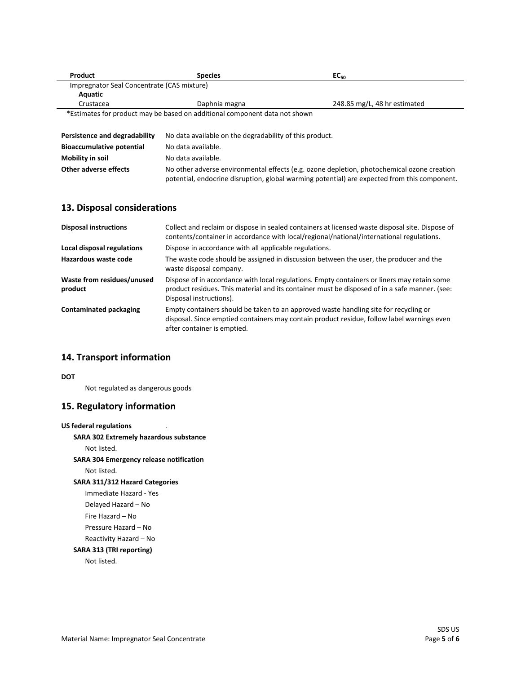| Product                                                                    | <b>Species</b> | EC <sub>50</sub>             |
|----------------------------------------------------------------------------|----------------|------------------------------|
| Impregnator Seal Concentrate (CAS mixture)                                 |                |                              |
| Aquatic                                                                    |                |                              |
| Crustacea                                                                  | Daphnia magna  | 248.85 mg/L, 48 hr estimated |
| *Estimates for product may be based on additional component data not shown |                |                              |

| Persistence and degradability    | No data available on the degradability of this product.                                                                                                                                    |
|----------------------------------|--------------------------------------------------------------------------------------------------------------------------------------------------------------------------------------------|
| <b>Bioaccumulative potential</b> | No data available.                                                                                                                                                                         |
| Mobility in soil                 | No data available.                                                                                                                                                                         |
| Other adverse effects            | No other adverse environmental effects (e.g. ozone depletion, photochemical ozone creation<br>potential, endocrine disruption, global warming potential) are expected from this component. |

# **13. Disposal considerations**

| <b>Disposal instructions</b>          | Collect and reclaim or dispose in sealed containers at licensed waste disposal site. Dispose of<br>contents/container in accordance with local/regional/national/international regulations.                             |
|---------------------------------------|-------------------------------------------------------------------------------------------------------------------------------------------------------------------------------------------------------------------------|
| Local disposal regulations            | Dispose in accordance with all applicable regulations.                                                                                                                                                                  |
| Hazardous waste code                  | The waste code should be assigned in discussion between the user, the producer and the<br>waste disposal company.                                                                                                       |
| Waste from residues/unused<br>product | Dispose of in accordance with local regulations. Empty containers or liners may retain some<br>product residues. This material and its container must be disposed of in a safe manner. (see:<br>Disposal instructions). |
| <b>Contaminated packaging</b>         | Empty containers should be taken to an approved waste handling site for recycling or<br>disposal. Since emptied containers may contain product residue, follow label warnings even<br>after container is emptied.       |

# **14. Transport information**

**DOT**

Not regulated as dangerous goods

# **15. Regulatory information**

| <b>US federal regulations</b>           |
|-----------------------------------------|
| SARA 302 Extremely hazardous substance  |
| Not listed.                             |
| SARA 304 Emergency release notification |
| Not listed.                             |
| <b>SARA 311/312 Hazard Categories</b>   |
| Immediate Hazard - Yes                  |
| Delayed Hazard – No                     |
| Fire Hazard – No                        |
| Pressure Hazard – No                    |
| Reactivity Hazard - No                  |
| SARA 313 (TRI reporting)                |
| Not listed.                             |